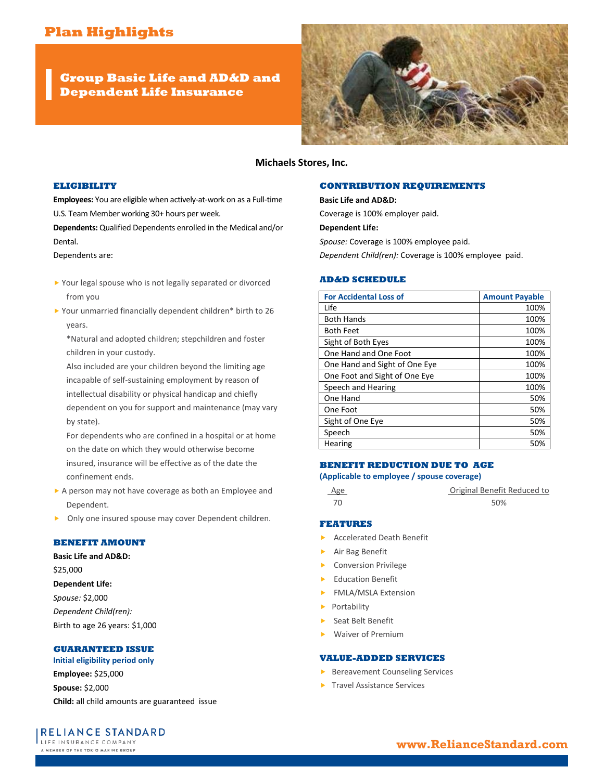# **Plan Highlights**

# **Group Basic Life and AD&D and Dependent Life Insurance**



# **Michaels Stores, Inc.**

#### **ELIGIBILITY**

**Employees:** You are eligible when actively-at-work on as a Full-time U.S. Team Member working 30+ hours per week.

**Dependents:** Qualified Dependents enrolled in the Medical and/or Dental.

Dependents are:

- Your legal spouse who is not legally separated or divorced from you
- Your unmarried financially dependent children\* birth to 26 years.

\*Natural and adopted children; stepchildren and foster children in your custody.

Also included are your children beyond the limiting age incapable of self-sustaining employment by reason of intellectual disability or physical handicap and chiefly dependent on you for support and maintenance (may vary by state).

For dependents who are confined in a hospital or at home on the date on which they would otherwise become insured, insurance will be effective as of the date the confinement ends.

- A person may not have coverage as both an Employee and Dependent.
- Only one insured spouse may cover Dependent children.

## **BENEFIT AMOUNT**

# **Basic Life and AD&D:** \$25,000 **Dependent Life:**  *Spouse:* \$2,000 *Dependent Child(ren):* Birth to age 26 years: \$1,000

#### **GUARANTEED ISSUE**

**Initial eligibility period only Employee:** \$25,000 **Spouse:** \$2,000 **Child:** all child amounts are guaranteed issue

#### **CONTRIBUTION REQUIREMENTS**

**Basic Life and AD&D:** Coverage is 100% employer paid.

**Dependent Life:**

*Spouse:* Coverage is 100% employee paid.

*Dependent Child(ren):* Coverage is 100% employee paid.

## **AD&D SCHEDULE**

| <b>For Accidental Loss of</b> | <b>Amount Payable</b> |
|-------------------------------|-----------------------|
| Life                          | 100%                  |
| <b>Both Hands</b>             | 100%                  |
| <b>Both Feet</b>              | 100%                  |
| Sight of Both Eyes            | 100%                  |
| One Hand and One Foot         | 100%                  |
| One Hand and Sight of One Eye | 100%                  |
| One Foot and Sight of One Eye | 100%                  |
| Speech and Hearing            | 100%                  |
| One Hand                      | 50%                   |
| One Foot                      | 50%                   |
| Sight of One Eye              | 50%                   |
| Speech                        | 50%                   |
| Hearing                       | 50%                   |

#### **BENEFIT REDUCTION DUE TO AGE**

**(Applicable to employee / spouse coverage)**

| <b>Age</b> | Original Benefit Reduced to |
|------------|-----------------------------|
| 70         | 50%                         |

#### **FEATURES**

- Accelerated Death Benefit
- Air Bag Benefit
- Conversion Privilege
- Education Benefit
- FMLA/MSLA Extension
- $\blacktriangleright$  Portability
- Seat Belt Benefit
- Waiver of Premium

#### **VALUE-ADDED SERVICES**

- **Bereavement Counseling Services**
- ▶ Travel Assistance Services

#### **RELIANCE STANDARD** LIFE INSURANCE COMPANY

A MEMBER OF THE TOKIO MARINE GROUP

# **[www.RelianceStandard.com](http://www.reliancestandard.com/)**